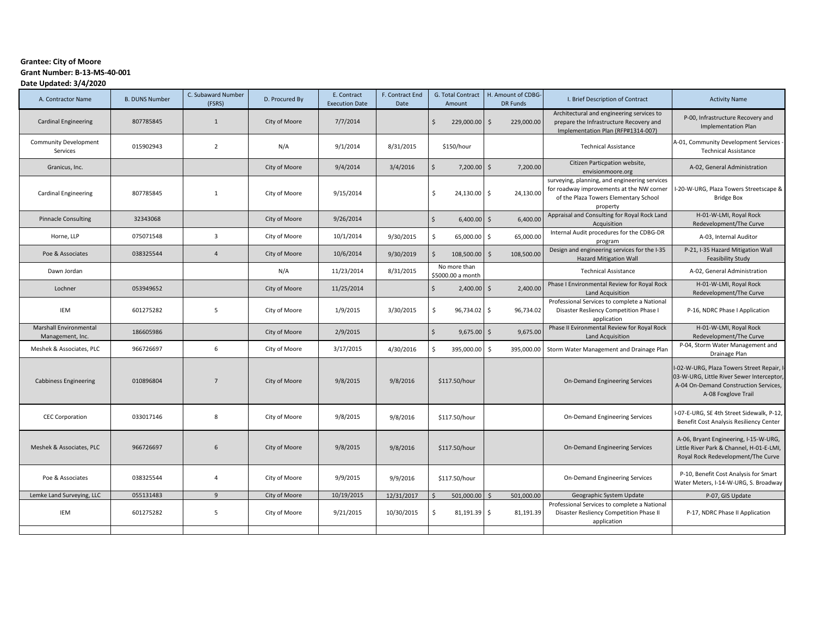## **Grantee: City of Moore Grant Number: B-13-MS-40-001 Date Updated: 3/4/2020**

| A. Contractor Name                         | <b>B. DUNS Number</b> | C. Subaward Number<br>(FSRS) | D. Procured By | E. Contract<br><b>Execution Date</b> | F. Contract End<br>Date | G. Total Contract<br>Amount       | H. Amount of CDBG-<br><b>DR Funds</b> | I. Brief Description of Contract                                                                                                                | <b>Activity Name</b>                                                                                                                                  |
|--------------------------------------------|-----------------------|------------------------------|----------------|--------------------------------------|-------------------------|-----------------------------------|---------------------------------------|-------------------------------------------------------------------------------------------------------------------------------------------------|-------------------------------------------------------------------------------------------------------------------------------------------------------|
| <b>Cardinal Engineering</b>                | 807785845             | $\mathbf{1}$                 | City of Moore  | 7/7/2014                             |                         | $\zeta$<br>229,000.00 \$          | 229,000.00                            | Architectural and engineering services to<br>prepare the Infrastructure Recovery and<br>Implementation Plan (RFP#1314-007)                      | P-00, Infrastructure Recovery and<br><b>Implementation Plan</b>                                                                                       |
| <b>Community Development</b><br>Services   | 015902943             | $\overline{2}$               | N/A            | 9/1/2014                             | 8/31/2015               | \$150/hour                        |                                       | <b>Technical Assistance</b>                                                                                                                     | A-01, Community Development Services<br><b>Technical Assistance</b>                                                                                   |
| Granicus, Inc.                             |                       |                              | City of Moore  | 9/4/2014                             | 3/4/2016                | \$<br>$7,200.00$ \$               | 7,200.00                              | Citizen Particpation website,<br>envisionmoore.org                                                                                              | A-02, General Administration                                                                                                                          |
| <b>Cardinal Engineering</b>                | 807785845             | $\mathbf{1}$                 | City of Moore  | 9/15/2014                            |                         | \$<br>24,130.00                   | l \$<br>24,130.00                     | surveying, planning, and engineering services<br>for roadway improvements at the NW corner<br>of the Plaza Towers Elementary School<br>property | I-20-W-URG, Plaza Towers Streetscape &<br><b>Bridge Box</b>                                                                                           |
| <b>Pinnacle Consulting</b>                 | 32343068              |                              | City of Moore  | 9/26/2014                            |                         | $\zeta$<br>$6,400.00$ \$          | 6,400.00                              | Appraisal and Consulting for Royal Rock Land<br>Acquisition                                                                                     | H-01-W-LMI, Royal Rock<br>Redevelopment/The Curve                                                                                                     |
| Horne, LLP                                 | 075071548             | $\overline{3}$               | City of Moore  | 10/1/2014                            | 9/30/2015               | \$<br>65,000.00                   | 65,000.00<br>- \$                     | Internal Audit procedures for the CDBG-DR<br>program                                                                                            | A-03, Internal Auditor                                                                                                                                |
| Poe & Associates                           | 038325544             | $\overline{4}$               | City of Moore  | 10/6/2014                            | 9/30/2019               | $\zeta$<br>108,500.00             | s.<br>108,500.00                      | Design and engineering services for the I-35<br><b>Hazard Mitigation Wall</b>                                                                   | P-21, I-35 Hazard Mitigation Wall<br><b>Feasibility Study</b>                                                                                         |
| Dawn Jordan                                |                       |                              | N/A            | 11/23/2014                           | 8/31/2015               | No more than<br>\$5000.00 a month |                                       | <b>Technical Assistance</b>                                                                                                                     | A-02, General Administration                                                                                                                          |
| Lochner                                    | 053949652             |                              | City of Moore  | 11/25/2014                           |                         | $\zeta$<br>$2,400.00$ \$          | 2,400.00                              | Phase I Environmental Review for Royal Rock<br>Land Acquisition                                                                                 | H-01-W-LMI, Royal Rock<br>Redevelopment/The Curve                                                                                                     |
| <b>IEM</b>                                 | 601275282             | 5                            | City of Moore  | 1/9/2015                             | 3/30/2015               | \$<br>96,734.02                   | l \$<br>96,734.02                     | Professional Services to complete a National<br>Disaster Resliency Competition Phase I<br>application                                           | P-16, NDRC Phase I Application                                                                                                                        |
| Marshall Environmental<br>Management, Inc. | 186605986             |                              | City of Moore  | 2/9/2015                             |                         | $\zeta$<br>$9,675.00$ \$          | 9,675.00                              | Phase II Evironmental Review for Royal Rock<br>Land Acquisition                                                                                 | H-01-W-LMI, Royal Rock<br>Redevelopment/The Curve                                                                                                     |
| Meshek & Associates, PLC                   | 966726697             | 6                            | City of Moore  | 3/17/2015                            | 4/30/2016               | \$<br>395,000.00                  | \$<br>395,000.00                      | Storm Water Management and Drainage Plan                                                                                                        | P-04, Storm Water Management and<br>Drainage Plan                                                                                                     |
| <b>Cabbiness Engineering</b>               | 010896804             | $\overline{7}$               | City of Moore  | 9/8/2015                             | 9/8/2016                | \$117.50/hour                     |                                       | On-Demand Engineering Services                                                                                                                  | I-02-W-URG, Plaza Towers Street Repair, I<br>03-W-URG, Little River Sewer Interceptor<br>A-04 On-Demand Construction Services,<br>A-08 Foxglove Trail |
| <b>CEC Corporation</b>                     | 033017146             | 8                            | City of Moore  | 9/8/2015                             | 9/8/2016                | \$117.50/hour                     |                                       | On-Demand Engineering Services                                                                                                                  | I-07-E-URG, SE 4th Street Sidewalk, P-12,<br>Benefit Cost Analysis Resiliency Center                                                                  |
| Meshek & Associates, PLC                   | 966726697             | 6                            | City of Moore  | 9/8/2015                             | 9/8/2016                | \$117.50/hour                     |                                       | On-Demand Engineering Services                                                                                                                  | A-06, Bryant Engineering, I-15-W-URG,<br>Little River Park & Channel, H-01-E-LMI,<br>Royal Rock Redevelopment/The Curve                               |
| Poe & Associates                           | 038325544             | 4                            | City of Moore  | 9/9/2015                             | 9/9/2016                | \$117.50/hour                     |                                       | On-Demand Engineering Services                                                                                                                  | P-10, Benefit Cost Analysis for Smart<br>Water Meters, I-14-W-URG, S. Broadway                                                                        |
| Lemke Land Surveying, LLC                  | 055131483             | 9                            | City of Moore  | 10/19/2015                           | 12/31/2017              | 501,000.00                        | 501,000.00                            | Geographic System Update                                                                                                                        | P-07, GIS Update                                                                                                                                      |
| <b>IEM</b>                                 | 601275282             | 5                            | City of Moore  | 9/21/2015                            | 10/30/2015              | \$<br>81,191.39 \$                | 81,191.39                             | Professional Services to complete a National<br>Disaster Resliency Competition Phase II<br>application                                          | P-17, NDRC Phase II Application                                                                                                                       |
|                                            |                       |                              |                |                                      |                         |                                   |                                       |                                                                                                                                                 |                                                                                                                                                       |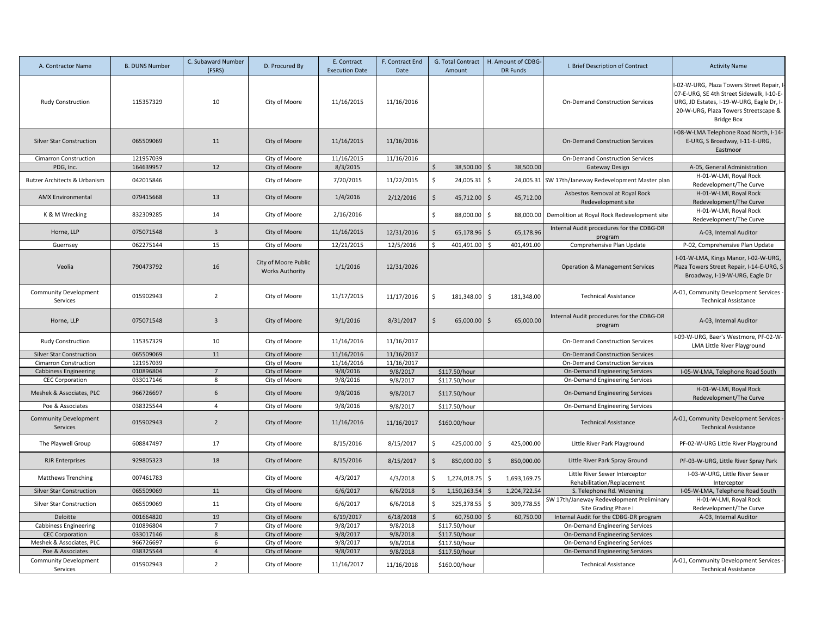| A. Contractor Name                                           | <b>B. DUNS Number</b>  | C. Subaward Number<br>(FSRS) | D. Procured By                                 | E. Contract<br><b>Execution Date</b> | F. Contract End<br>Date | G. Total Contract<br>Amount         | H. Amount of CDBG-<br><b>DR Funds</b> | I. Brief Description of Contract                                  | <b>Activity Name</b>                                                                                                                                                                              |
|--------------------------------------------------------------|------------------------|------------------------------|------------------------------------------------|--------------------------------------|-------------------------|-------------------------------------|---------------------------------------|-------------------------------------------------------------------|---------------------------------------------------------------------------------------------------------------------------------------------------------------------------------------------------|
| <b>Rudy Construction</b>                                     | 115357329              | 10                           | City of Moore                                  | 11/16/2015                           | 11/16/2016              |                                     |                                       | <b>On-Demand Construction Services</b>                            | I-02-W-URG, Plaza Towers Street Repair, I-<br>07-E-URG, SE 4th Street Sidewalk, I-10-E-<br>URG, JD Estates, I-19-W-URG, Eagle Dr, I-<br>20-W-URG, Plaza Towers Streetscape &<br><b>Bridge Box</b> |
| <b>Silver Star Construction</b>                              | 065509069              | 11                           | City of Moore                                  | 11/16/2015                           | 11/16/2016              |                                     |                                       | <b>On-Demand Construction Services</b>                            | -08-W-LMA Telephone Road North, I-14-<br>E-URG, S Broadway, I-11-E-URG,<br>Eastmoor                                                                                                               |
| Cimarron Construction                                        | 121957039              |                              | City of Moore                                  | 11/16/2015                           | 11/16/2016              |                                     |                                       | On-Demand Construction Services                                   |                                                                                                                                                                                                   |
| PDG, Inc.                                                    | 164639957              | 12                           | City of Moore                                  | 8/3/2015                             |                         | 38,500.00<br>$\mathsf{\hat{S}}$     | 38,500.00<br>Ś                        | Gateway Design                                                    | A-05, General Administration                                                                                                                                                                      |
| Butzer Architects & Urbanism                                 | 042015846              |                              | City of Moore                                  | 7/20/2015                            | 11/22/2015              | \$<br>24,005.31                     | $\ddot{\mathsf{S}}$<br>24,005.31      | SW 17th/Janeway Redevelopment Master plan                         | H-01-W-LMI, Royal Rock<br>Redevelopment/The Curve                                                                                                                                                 |
| <b>AMX Environmental</b>                                     | 079415668              | 13                           | City of Moore                                  | 1/4/2016                             | 2/12/2016               | $\ddot{\mathsf{S}}$<br>45,712.00 \$ | 45,712.00                             | Asbestos Removal at Royal Rock<br>Redevelopment site              | H-01-W-LMI, Royal Rock<br>Redevelopment/The Curve                                                                                                                                                 |
| K & M Wrecking                                               | 832309285              | 14                           | City of Moore                                  | 2/16/2016                            |                         | \$<br>88,000.00                     | $\ddot{\mathsf{S}}$<br>88,000.00      | Demolition at Royal Rock Redevelopment site                       | H-01-W-LMI, Royal Rock<br>Redevelopment/The Curve                                                                                                                                                 |
| Horne, LLP                                                   | 075071548              | $\overline{\mathbf{3}}$      | City of Moore                                  | 11/16/2015                           | 12/31/2016              | $\ddot{\mathsf{S}}$<br>65,178.96    | $\ddot{\phi}$<br>65,178.96            | Internal Audit procedures for the CDBG-DR<br>program              | A-03, Internal Auditor                                                                                                                                                                            |
| Guernsey                                                     | 062275144              | 15                           | City of Moore                                  | 12/21/2015                           | 12/5/2016               | $\zeta$<br>401,491.00               | 401,491.00                            | Comprehensive Plan Update                                         | P-02, Comprehensive Plan Update                                                                                                                                                                   |
| Veolia                                                       | 790473792              | 16                           | City of Moore Public<br><b>Works Authority</b> | 1/1/2016                             | 12/31/2026              |                                     |                                       | <b>Operation &amp; Management Services</b>                        | I-01-W-LMA, Kings Manor, I-02-W-URG,<br>Plaza Towers Street Repair, I-14-E-URG, S<br>Broadway, I-19-W-URG, Eagle Dr                                                                               |
| <b>Community Development</b><br>Services                     | 015902943              | $\overline{2}$               | City of Moore                                  | 11/17/2015                           | 11/17/2016              | Ŝ.<br>181,348.00 \$                 | 181,348.00                            | <b>Technical Assistance</b>                                       | A-01, Community Development Services -<br><b>Technical Assistance</b>                                                                                                                             |
| Horne, LLP                                                   | 075071548              | $\overline{3}$               | City of Moore                                  | 9/1/2016                             | 8/31/2017               | <sup>\$</sup><br>65,000.00 \$       | 65,000.00                             | Internal Audit procedures for the CDBG-DR<br>program              | A-03, Internal Auditor                                                                                                                                                                            |
| <b>Rudy Construction</b>                                     | 115357329              | 10                           | City of Moore                                  | 11/16/2016                           | 11/16/2017              |                                     |                                       | <b>On-Demand Construction Services</b>                            | I-09-W-URG, Baer's Westmore, PF-02-W-<br>LMA Little River Playground                                                                                                                              |
| <b>Silver Star Construction</b>                              | 065509069              | 11                           | City of Moore                                  | 11/16/2016                           | 11/16/2017              |                                     |                                       | On-Demand Construction Services                                   |                                                                                                                                                                                                   |
| <b>Cimarron Construction</b>                                 | 121957039              |                              | City of Moore                                  | 11/16/2016                           | 11/16/2017              |                                     |                                       | On-Demand Construction Services                                   |                                                                                                                                                                                                   |
| <b>Cabbiness Engineering</b>                                 | 010896804              | $7\overline{ }$              | City of Moore                                  | 9/8/2016                             | 9/8/2017                | \$117.50/hour                       |                                       | On-Demand Engineering Services                                    | I-05-W-LMA, Telephone Road South                                                                                                                                                                  |
| <b>CEC Corporation</b>                                       | 033017146              | 8                            | City of Moore                                  | 9/8/2016                             | 9/8/2017                | \$117.50/hour                       |                                       | On-Demand Engineering Services                                    |                                                                                                                                                                                                   |
| Meshek & Associates, PLC                                     | 966726697              | 6                            | City of Moore                                  | 9/8/2016                             | 9/8/2017                | \$117.50/hour                       |                                       | <b>On-Demand Engineering Services</b>                             | H-01-W-LMI, Royal Rock<br>Redevelopment/The Curve                                                                                                                                                 |
| Poe & Associates                                             | 038325544              | $\overline{4}$               | City of Moore                                  | 9/8/2016                             | 9/8/2017                | \$117.50/hour                       |                                       | On-Demand Engineering Services                                    |                                                                                                                                                                                                   |
| Community Development<br>Services                            | 015902943              | $\overline{2}$               | City of Moore                                  | 11/16/2016                           | 11/16/2017              | \$160.00/hour                       |                                       | <b>Technical Assistance</b>                                       | A-01, Community Development Services -<br><b>Technical Assistance</b>                                                                                                                             |
| The Playwell Group                                           | 608847497              | 17                           | City of Moore                                  | 8/15/2016                            | 8/15/2017               | $\mathsf{\hat{S}}$<br>425,000.00    | \$<br>425,000.00                      | Little River Park Playground                                      | PF-02-W-URG Little River Playground                                                                                                                                                               |
| <b>RJR Enterprises</b>                                       | 929805323              | 18                           | City of Moore                                  | 8/15/2016                            | 8/15/2017               | $\mathsf{S}$<br>850,000.00          | $\mathsf{S}$<br>850,000.00            | Little River Park Spray Ground                                    | PF-03-W-URG, Little River Spray Park                                                                                                                                                              |
| <b>Matthews Trenching</b>                                    | 007461783              |                              | City of Moore                                  | 4/3/2017                             | 4/3/2018                | \$<br>1,274,018.75                  | \$<br>1,693,169.75                    | Little River Sewer Interceptor<br>Rehabilitation/Replacement      | I-03-W-URG, Little River Sewer<br>Interceptor                                                                                                                                                     |
| <b>Silver Star Construction</b>                              | 065509069              | 11                           | City of Moore                                  | 6/6/2017                             | 6/6/2018                | $\zeta$<br>1,150,263.54             | 1,204,722.54                          | S. Telephone Rd. Widening                                         | I-05-W-LMA, Telephone Road South                                                                                                                                                                  |
| <b>Silver Star Construction</b>                              | 065509069              | 11                           | City of Moore                                  | 6/6/2017                             | 6/6/2018                | \$<br>325,378.55                    | \$.<br>309,778.55                     | SW 17th/Janeway Redevelopment Preliminary<br>Site Grading Phase I | H-01-W-LMI, Royal Rock<br>Redevelopment/The Curve                                                                                                                                                 |
| Deloitte                                                     | 001664820              | 19                           | City of Moore                                  | 6/19/2017                            | 6/18/2018               | 60,750.00<br>$\zeta$                | 60,750.00                             | Internal Audit for the CDBG-DR program                            | A-03, Internal Auditor                                                                                                                                                                            |
| <b>Cabbiness Engineering</b>                                 | 010896804              | $\overline{7}$               | City of Moore                                  | 9/8/2017                             | 9/8/2018                | \$117.50/hour                       |                                       | On-Demand Engineering Services                                    |                                                                                                                                                                                                   |
| <b>CEC Corporation</b>                                       | 033017146              | 8                            | City of Moore                                  | 9/8/2017                             | 9/8/2018                | \$117.50/hour                       |                                       | On-Demand Engineering Services                                    |                                                                                                                                                                                                   |
| Meshek & Associates, PLC                                     | 966726697              | 6<br>$\overline{4}$          | City of Moore                                  | 9/8/2017                             | 9/8/2018                | \$117.50/hour                       |                                       | On-Demand Engineering Services                                    |                                                                                                                                                                                                   |
| Poe & Associates<br><b>Community Development</b><br>Services | 038325544<br>015902943 | $\overline{2}$               | City of Moore<br>City of Moore                 | 9/8/2017<br>11/16/2017               | 9/8/2018<br>11/16/2018  | \$117.50/hour<br>\$160.00/hour      |                                       | On-Demand Engineering Services<br><b>Technical Assistance</b>     | A-01, Community Development Services -<br><b>Technical Assistance</b>                                                                                                                             |
|                                                              |                        |                              |                                                |                                      |                         |                                     |                                       |                                                                   |                                                                                                                                                                                                   |